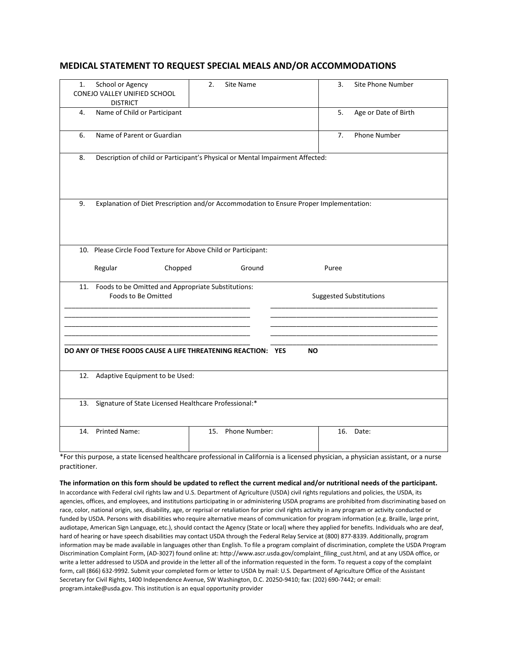## **MEDICAL STATEMENT TO REQUEST SPECIAL MEALS AND/OR ACCOMMODATIONS**

| 1.  | School or Agency                                               | 2.<br>Site Name                                                                        | 3.<br>Site Phone Number        |
|-----|----------------------------------------------------------------|----------------------------------------------------------------------------------------|--------------------------------|
|     | CONEJO VALLEY UNIFIED SCHOOL                                   |                                                                                        |                                |
|     | <b>DISTRICT</b>                                                |                                                                                        |                                |
| 4.  | Name of Child or Participant                                   |                                                                                        | 5.<br>Age or Date of Birth     |
|     |                                                                |                                                                                        |                                |
| 6.  | Name of Parent or Guardian                                     |                                                                                        | Phone Number<br>7.             |
|     |                                                                |                                                                                        |                                |
| 8.  |                                                                | Description of child or Participant's Physical or Mental Impairment Affected:          |                                |
|     |                                                                |                                                                                        |                                |
|     |                                                                |                                                                                        |                                |
|     |                                                                |                                                                                        |                                |
|     |                                                                |                                                                                        |                                |
| 9.  |                                                                | Explanation of Diet Prescription and/or Accommodation to Ensure Proper Implementation: |                                |
|     |                                                                |                                                                                        |                                |
|     |                                                                |                                                                                        |                                |
|     |                                                                |                                                                                        |                                |
|     | 10. Please Circle Food Texture for Above Child or Participant: |                                                                                        |                                |
|     |                                                                |                                                                                        |                                |
|     |                                                                |                                                                                        |                                |
|     |                                                                |                                                                                        |                                |
|     | Regular<br>Chopped                                             | Ground                                                                                 | Puree                          |
|     | 11. Foods to be Omitted and Appropriate Substitutions:         |                                                                                        |                                |
|     | Foods to Be Omitted                                            |                                                                                        | <b>Suggested Substitutions</b> |
|     |                                                                |                                                                                        |                                |
|     |                                                                |                                                                                        |                                |
|     |                                                                |                                                                                        |                                |
|     |                                                                |                                                                                        |                                |
|     |                                                                |                                                                                        |                                |
|     | DO ANY OF THESE FOODS CAUSE A LIFE THREATENING REACTION: YES   | <b>NO</b>                                                                              |                                |
|     |                                                                |                                                                                        |                                |
|     |                                                                |                                                                                        |                                |
|     | 12. Adaptive Equipment to be Used:                             |                                                                                        |                                |
|     |                                                                |                                                                                        |                                |
|     | 13. Signature of State Licensed Healthcare Professional:*      |                                                                                        |                                |
|     |                                                                |                                                                                        |                                |
|     |                                                                |                                                                                        |                                |
| 14. | <b>Printed Name:</b>                                           | Phone Number:<br>15.                                                                   | 16.<br>Date:                   |
|     |                                                                |                                                                                        |                                |

\*For this purpose, a state licensed healthcare professional in California is a licensed physician, a physician assistant, or a nurse practitioner.

## **The information on this form should be updated to reflect the current medical and/or nutritional needs of the participant.**

In accordance with Federal civil rights law and U.S. Department of Agriculture (USDA) civil rights regulations and policies, the USDA, its agencies, offices, and employees, and institutions participating in or administering USDA programs are prohibited from discriminating based on race, color, national origin, sex, disability, age, or reprisal or retaliation for prior civil rights activity in any program or activity conducted or funded by USDA. Persons with disabilities who require alternative means of communication for program information (e.g. Braille, large print, audiotape, American Sign Language, etc.), should contact the Agency (State or local) where they applied for benefits. Individuals who are deaf, hard of hearing or have speech disabilities may contact USDA through the Federal Relay Service at (800) 877-8339. Additionally, program information may be made available in languages other than English. To file a program complaint of discrimination, complete the USDA Program Discrimination Complaint Form, (AD-3027) found online at: http://www.ascr.usda.gov/complaint\_filing\_cust.html, and at any USDA office, or write a letter addressed to USDA and provide in the letter all of the information requested in the form. To request a copy of the complaint form, call (866) 632-9992. Submit your completed form or letter to USDA by mail: U.S. Department of Agriculture Office of the Assistant Secretary for Civil Rights, 1400 Independence Avenue, SW Washington, D.C. 20250-9410; fax: (202) 690-7442; or email: program.intake@usda.gov. This institution is an equal opportunity provider